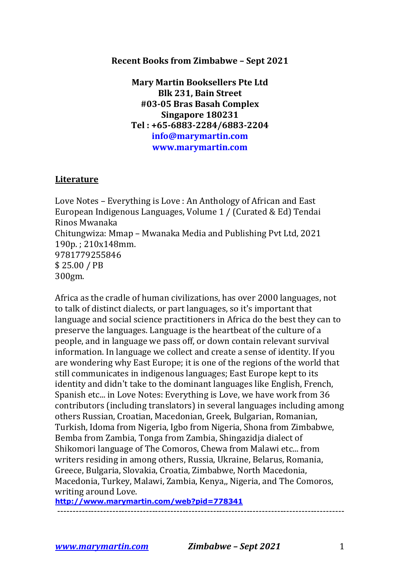## **Recent Books from Zimbabwe – Sept 2021**

**Mary Martin Booksellers Pte Ltd Blk 231, Bain Street #03-05 Bras Basah Complex Singapore 180231 Tel : +65-6883-2284/6883-2204 info@marymartin.com www.marymartin.com**

## **Literature**

Love Notes - Everything is Love : An Anthology of African and East European Indigenous Languages, Volume 1 / (Curated & Ed) Tendai Rinos Mwanaka Chitungwiza: Mmap - Mwanaka Media and Publishing Pvt Ltd, 2021 190p.; 210x148mm. 9781779255846 \$ 25.00 / PB 300gm.

Africa as the cradle of human civilizations, has over 2000 languages, not to talk of distinct dialects, or part languages, so it's important that language and social science practitioners in Africa do the best they can to preserve the languages. Language is the heartbeat of the culture of a people, and in language we pass off, or down contain relevant survival information. In language we collect and create a sense of identity. If you are wondering why East Europe; it is one of the regions of the world that still communicates in indigenous languages; East Europe kept to its identity and didn't take to the dominant languages like English, French, Spanish etc... in Love Notes: Everything is Love, we have work from 36 contributors (including translators) in several languages including among others Russian, Croatian, Macedonian, Greek, Bulgarian, Romanian, Turkish, Idoma from Nigeria, Igbo from Nigeria, Shona from Zimbabwe, Bemba from Zambia, Tonga from Zambia, Shingazidja dialect of Shikomori language of The Comoros, Chewa from Malawi etc... from writers residing in among others, Russia, Ukraine, Belarus, Romania, Greece, Bulgaria, Slovakia, Croatia, Zimbabwe, North Macedonia, Macedonia, Turkey, Malawi, Zambia, Kenya,, Nigeria, and The Comoros, writing around Love.

----------------------------------------------------------------------------------------------

**http://www.marymartin.com/web?pid=778341**